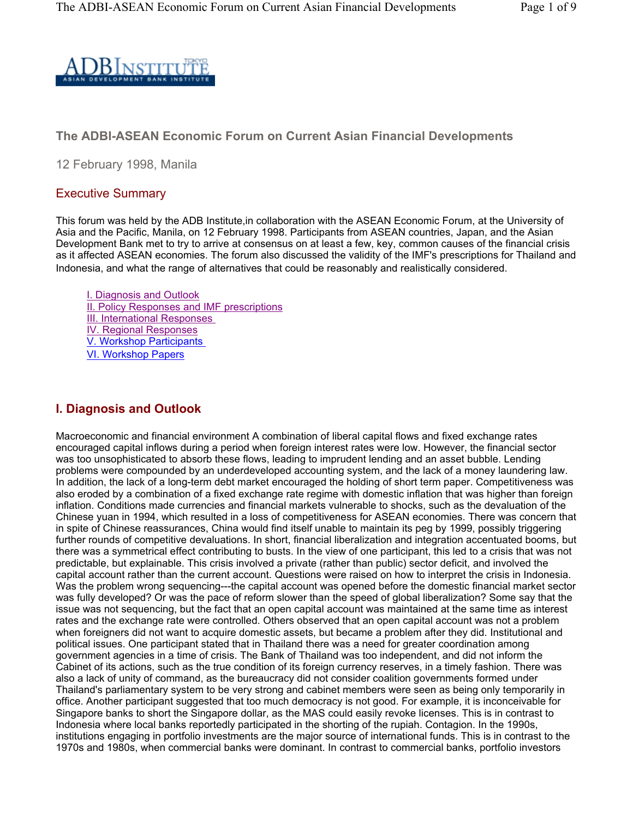

#### **The ADBI-ASEAN Economic Forum on Current Asian Financial Developments**

12 February 1998, Manila

#### Executive Summary

This forum was held by the ADB Institute,in collaboration with the ASEAN Economic Forum, at the University of Asia and the Pacific, Manila, on 12 February 1998. Participants from ASEAN countries, Japan, and the Asian Development Bank met to try to arrive at consensus on at least a few, key, common causes of the financial crisis as it affected ASEAN economies. The forum also discussed the validity of the IMF's prescriptions for Thailand and Indonesia, and what the range of alternatives that could be reasonably and realistically considered.

I. Diagnosis and Outlook **II. Policy Responses and IMF prescriptions** III. International Responses IV. Regional Responses V. Workshop Participants VI. Workshop Papers

#### **I. Diagnosis and Outlook**

Macroeconomic and financial environment A combination of liberal capital flows and fixed exchange rates encouraged capital inflows during a period when foreign interest rates were low. However, the financial sector was too unsophisticated to absorb these flows, leading to imprudent lending and an asset bubble. Lending problems were compounded by an underdeveloped accounting system, and the lack of a money laundering law. In addition, the lack of a long-term debt market encouraged the holding of short term paper. Competitiveness was also eroded by a combination of a fixed exchange rate regime with domestic inflation that was higher than foreign inflation. Conditions made currencies and financial markets vulnerable to shocks, such as the devaluation of the Chinese yuan in 1994, which resulted in a loss of competitiveness for ASEAN economies. There was concern that in spite of Chinese reassurances, China would find itself unable to maintain its peg by 1999, possibly triggering further rounds of competitive devaluations. In short, financial liberalization and integration accentuated booms, but there was a symmetrical effect contributing to busts. In the view of one participant, this led to a crisis that was not predictable, but explainable. This crisis involved a private (rather than public) sector deficit, and involved the capital account rather than the current account. Questions were raised on how to interpret the crisis in Indonesia. Was the problem wrong sequencing---the capital account was opened before the domestic financial market sector was fully developed? Or was the pace of reform slower than the speed of global liberalization? Some say that the issue was not sequencing, but the fact that an open capital account was maintained at the same time as interest rates and the exchange rate were controlled. Others observed that an open capital account was not a problem when foreigners did not want to acquire domestic assets, but became a problem after they did. Institutional and political issues. One participant stated that in Thailand there was a need for greater coordination among government agencies in a time of crisis. The Bank of Thailand was too independent, and did not inform the Cabinet of its actions, such as the true condition of its foreign currency reserves, in a timely fashion. There was also a lack of unity of command, as the bureaucracy did not consider coalition governments formed under Thailand's parliamentary system to be very strong and cabinet members were seen as being only temporarily in office. Another participant suggested that too much democracy is not good. For example, it is inconceivable for Singapore banks to short the Singapore dollar, as the MAS could easily revoke licenses. This is in contrast to Indonesia where local banks reportedly participated in the shorting of the rupiah. Contagion. In the 1990s, institutions engaging in portfolio investments are the major source of international funds. This is in contrast to the 1970s and 1980s, when commercial banks were dominant. In contrast to commercial banks, portfolio investors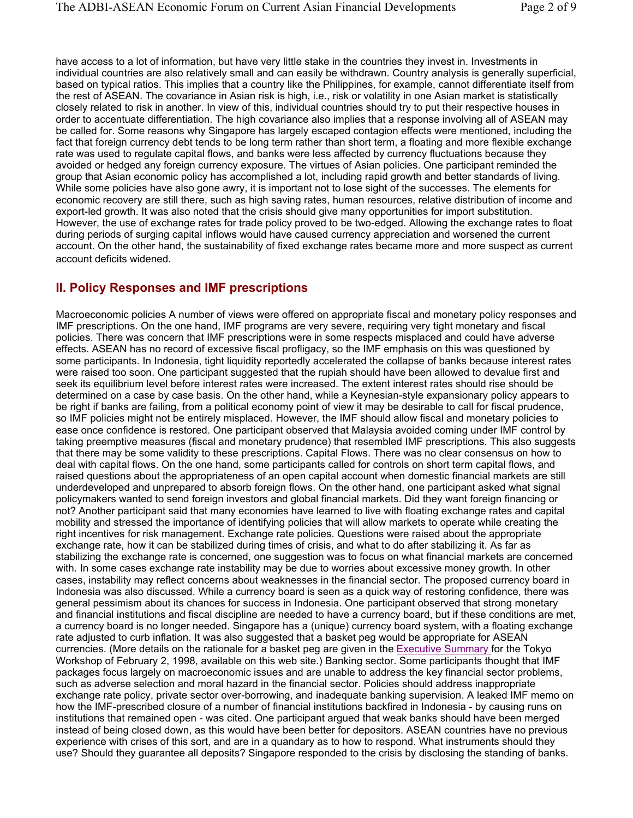have access to a lot of information, but have very little stake in the countries they invest in. Investments in individual countries are also relatively small and can easily be withdrawn. Country analysis is generally superficial, based on typical ratios. This implies that a country like the Philippines, for example, cannot differentiate itself from the rest of ASEAN. The covariance in Asian risk is high, i.e., risk or volatility in one Asian market is statistically closely related to risk in another. In view of this, individual countries should try to put their respective houses in order to accentuate differentiation. The high covariance also implies that a response involving all of ASEAN may be called for. Some reasons why Singapore has largely escaped contagion effects were mentioned, including the fact that foreign currency debt tends to be long term rather than short term, a floating and more flexible exchange rate was used to regulate capital flows, and banks were less affected by currency fluctuations because they avoided or hedged any foreign currency exposure. The virtues of Asian policies. One participant reminded the group that Asian economic policy has accomplished a lot, including rapid growth and better standards of living. While some policies have also gone awry, it is important not to lose sight of the successes. The elements for economic recovery are still there, such as high saving rates, human resources, relative distribution of income and export-led growth. It was also noted that the crisis should give many opportunities for import substitution. However, the use of exchange rates for trade policy proved to be two-edged. Allowing the exchange rates to float during periods of surging capital inflows would have caused currency appreciation and worsened the current account. On the other hand, the sustainability of fixed exchange rates became more and more suspect as current account deficits widened.

#### **II. Policy Responses and IMF prescriptions**

Macroeconomic policies A number of views were offered on appropriate fiscal and monetary policy responses and IMF prescriptions. On the one hand, IMF programs are very severe, requiring very tight monetary and fiscal policies. There was concern that IMF prescriptions were in some respects misplaced and could have adverse effects. ASEAN has no record of excessive fiscal profligacy, so the IMF emphasis on this was questioned by some participants. In Indonesia, tight liquidity reportedly accelerated the collapse of banks because interest rates were raised too soon. One participant suggested that the rupiah should have been allowed to devalue first and seek its equilibrium level before interest rates were increased. The extent interest rates should rise should be determined on a case by case basis. On the other hand, while a Keynesian-style expansionary policy appears to be right if banks are failing, from a political economy point of view it may be desirable to call for fiscal prudence, so IMF policies might not be entirely misplaced. However, the IMF should allow fiscal and monetary policies to ease once confidence is restored. One participant observed that Malaysia avoided coming under IMF control by taking preemptive measures (fiscal and monetary prudence) that resembled IMF prescriptions. This also suggests that there may be some validity to these prescriptions. Capital Flows. There was no clear consensus on how to deal with capital flows. On the one hand, some participants called for controls on short term capital flows, and raised questions about the appropriateness of an open capital account when domestic financial markets are still underdeveloped and unprepared to absorb foreign flows. On the other hand, one participant asked what signal policymakers wanted to send foreign investors and global financial markets. Did they want foreign financing or not? Another participant said that many economies have learned to live with floating exchange rates and capital mobility and stressed the importance of identifying policies that will allow markets to operate while creating the right incentives for risk management. Exchange rate policies. Questions were raised about the appropriate exchange rate, how it can be stabilized during times of crisis, and what to do after stabilizing it. As far as stabilizing the exchange rate is concerned, one suggestion was to focus on what financial markets are concerned with. In some cases exchange rate instability may be due to worries about excessive money growth. In other cases, instability may reflect concerns about weaknesses in the financial sector. The proposed currency board in Indonesia was also discussed. While a currency board is seen as a quick way of restoring confidence, there was general pessimism about its chances for success in Indonesia. One participant observed that strong monetary and financial institutions and fiscal discipline are needed to have a currency board, but if these conditions are met, a currency board is no longer needed. Singapore has a (unique) currency board system, with a floating exchange rate adjusted to curb inflation. It was also suggested that a basket peg would be appropriate for ASEAN currencies. (More details on the rationale for a basket peg are given in the Executive Summary for the Tokyo Workshop of February 2, 1998, available on this web site.) Banking sector. Some participants thought that IMF packages focus largely on macroeconomic issues and are unable to address the key financial sector problems, such as adverse selection and moral hazard in the financial sector. Policies should address inappropriate exchange rate policy, private sector over-borrowing, and inadequate banking supervision. A leaked IMF memo on how the IMF-prescribed closure of a number of financial institutions backfired in Indonesia - by causing runs on institutions that remained open - was cited. One participant argued that weak banks should have been merged instead of being closed down, as this would have been better for depositors. ASEAN countries have no previous experience with crises of this sort, and are in a quandary as to how to respond. What instruments should they use? Should they guarantee all deposits? Singapore responded to the crisis by disclosing the standing of banks.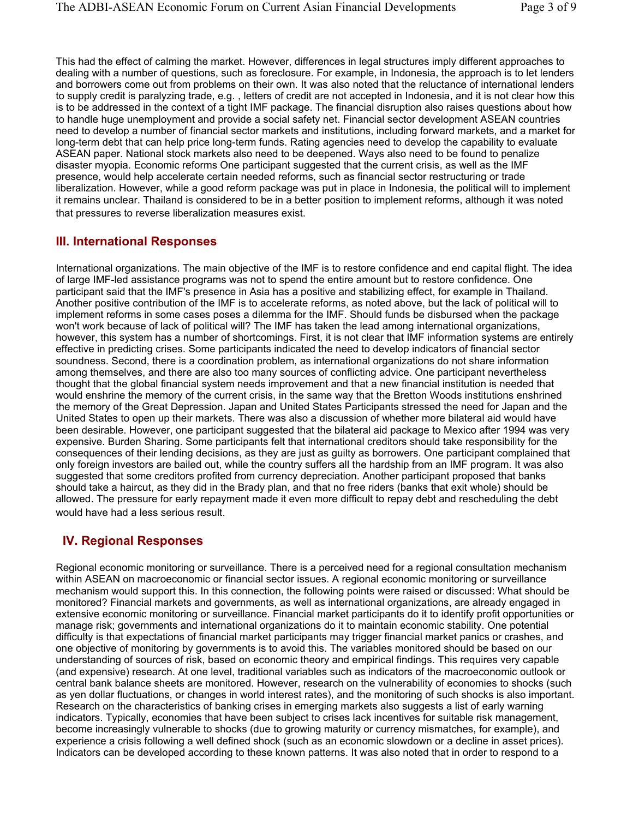This had the effect of calming the market. However, differences in legal structures imply different approaches to dealing with a number of questions, such as foreclosure. For example, in Indonesia, the approach is to let lenders and borrowers come out from problems on their own. It was also noted that the reluctance of international lenders to supply credit is paralyzing trade, e.g. , letters of credit are not accepted in Indonesia, and it is not clear how this is to be addressed in the context of a tight IMF package. The financial disruption also raises questions about how to handle huge unemployment and provide a social safety net. Financial sector development ASEAN countries need to develop a number of financial sector markets and institutions, including forward markets, and a market for long-term debt that can help price long-term funds. Rating agencies need to develop the capability to evaluate ASEAN paper. National stock markets also need to be deepened. Ways also need to be found to penalize disaster myopia. Economic reforms One participant suggested that the current crisis, as well as the IMF presence, would help accelerate certain needed reforms, such as financial sector restructuring or trade liberalization. However, while a good reform package was put in place in Indonesia, the political will to implement it remains unclear. Thailand is considered to be in a better position to implement reforms, although it was noted that pressures to reverse liberalization measures exist.

#### **III. International Responses**

International organizations. The main objective of the IMF is to restore confidence and end capital flight. The idea of large IMF-led assistance programs was not to spend the entire amount but to restore confidence. One participant said that the IMF's presence in Asia has a positive and stabilizing effect, for example in Thailand. Another positive contribution of the IMF is to accelerate reforms, as noted above, but the lack of political will to implement reforms in some cases poses a dilemma for the IMF. Should funds be disbursed when the package won't work because of lack of political will? The IMF has taken the lead among international organizations, however, this system has a number of shortcomings. First, it is not clear that IMF information systems are entirely effective in predicting crises. Some participants indicated the need to develop indicators of financial sector soundness. Second, there is a coordination problem, as international organizations do not share information among themselves, and there are also too many sources of conflicting advice. One participant nevertheless thought that the global financial system needs improvement and that a new financial institution is needed that would enshrine the memory of the current crisis, in the same way that the Bretton Woods institutions enshrined the memory of the Great Depression. Japan and United States Participants stressed the need for Japan and the United States to open up their markets. There was also a discussion of whether more bilateral aid would have been desirable. However, one participant suggested that the bilateral aid package to Mexico after 1994 was very expensive. Burden Sharing. Some participants felt that international creditors should take responsibility for the consequences of their lending decisions, as they are just as guilty as borrowers. One participant complained that only foreign investors are bailed out, while the country suffers all the hardship from an IMF program. It was also suggested that some creditors profited from currency depreciation. Another participant proposed that banks should take a haircut, as they did in the Brady plan, and that no free riders (banks that exit whole) should be allowed. The pressure for early repayment made it even more difficult to repay debt and rescheduling the debt would have had a less serious result.

#### **IV. Regional Responses**

Regional economic monitoring or surveillance. There is a perceived need for a regional consultation mechanism within ASEAN on macroeconomic or financial sector issues. A regional economic monitoring or surveillance mechanism would support this. In this connection, the following points were raised or discussed: What should be monitored? Financial markets and governments, as well as international organizations, are already engaged in extensive economic monitoring or surveillance. Financial market participants do it to identify profit opportunities or manage risk; governments and international organizations do it to maintain economic stability. One potential difficulty is that expectations of financial market participants may trigger financial market panics or crashes, and one objective of monitoring by governments is to avoid this. The variables monitored should be based on our understanding of sources of risk, based on economic theory and empirical findings. This requires very capable (and expensive) research. At one level, traditional variables such as indicators of the macroeconomic outlook or central bank balance sheets are monitored. However, research on the vulnerability of economies to shocks (such as yen dollar fluctuations, or changes in world interest rates), and the monitoring of such shocks is also important. Research on the characteristics of banking crises in emerging markets also suggests a list of early warning indicators. Typically, economies that have been subject to crises lack incentives for suitable risk management, become increasingly vulnerable to shocks (due to growing maturity or currency mismatches, for example), and experience a crisis following a well defined shock (such as an economic slowdown or a decline in asset prices). Indicators can be developed according to these known patterns. It was also noted that in order to respond to a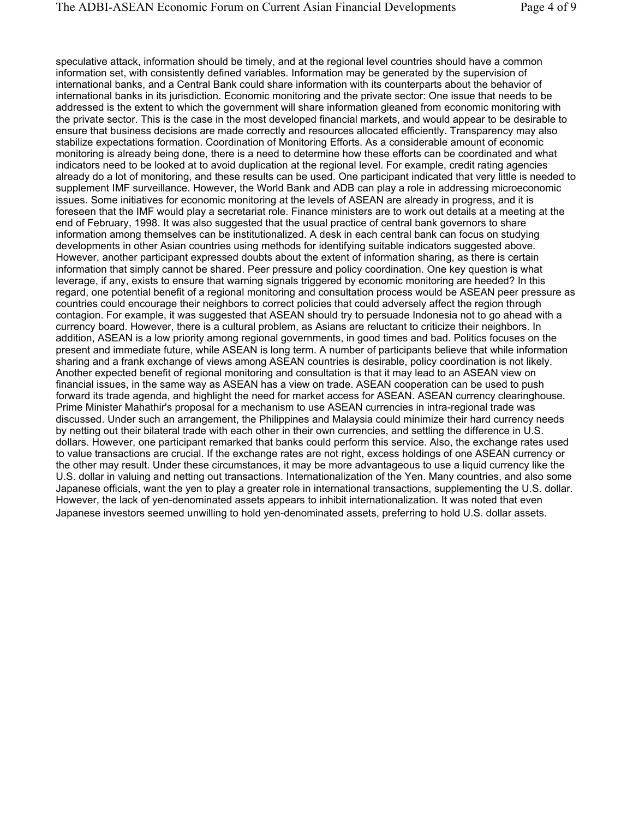speculative attack, information should be timely, and at the regional level countries should have a common information set, with consistently defined variables. Information may be generated by the supervision of international banks, and a Central Bank could share information with its counterparts about the behavior of international banks in its jurisdiction. Economic monitoring and the private sector: One issue that needs to be addressed is the extent to which the government will share information gleaned from economic monitoring with the private sector. This is the case in the most developed financial markets, and would appear to be desirable to ensure that business decisions are made correctly and resources allocated efficiently. Transparency may also stabilize expectations formation. Coordination of Monitoring Efforts. As a considerable amount of economic monitoring is already being done, there is a need to determine how these efforts can be coordinated and what indicators need to be looked at to avoid duplication at the regional level. For example, credit rating agencies already do a lot of monitoring, and these results can be used. One participant indicated that very little is needed to supplement IMF surveillance. However, the World Bank and ADB can play a role in addressing microeconomic issues. Some initiatives for economic monitoring at the levels of ASEAN are already in progress, and it is foreseen that the IMF would play a secretariat role. Finance ministers are to work out details at a meeting at the end of February, 1998. It was also suggested that the usual practice of central bank governors to share information among themselves can be institutionalized. A desk in each central bank can focus on studying developments in other Asian countries using methods for identifying suitable indicators suggested above. However, another participant expressed doubts about the extent of information sharing, as there is certain information that simply cannot be shared. Peer pressure and policy coordination. One key question is what leverage, if any, exists to ensure that warning signals triggered by economic monitoring are heeded? In this regard, one potential benefit of a regional monitoring and consultation process would be ASEAN peer pressure as countries could encourage their neighbors to correct policies that could adversely affect the region through contagion. For example, it was suggested that ASEAN should try to persuade Indonesia not to go ahead with a currency board. However, there is a cultural problem, as Asians are reluctant to criticize their neighbors. In addition, ASEAN is a low priority among regional governments, in good times and bad. Politics focuses on the present and immediate future, while ASEAN is long term. A number of participants believe that while information sharing and a frank exchange of views among ASEAN countries is desirable, policy coordination is not likely. Another expected benefit of regional monitoring and consultation is that it may lead to an ASEAN view on financial issues, in the same way as ASEAN has a view on trade. ASEAN cooperation can be used to push forward its trade agenda, and highlight the need for market access for ASEAN. ASEAN currency clearinghouse. Prime Minister Mahathir's proposal for a mechanism to use ASEAN currencies in intra-regional trade was discussed. Under such an arrangement, the Philippines and Malaysia could minimize their hard currency needs by netting out their bilateral trade with each other in their own currencies, and settling the difference in U.S. dollars. However, one participant remarked that banks could perform this service. Also, the exchange rates used to value transactions are crucial. If the exchange rates are not right, excess holdings of one ASEAN currency or the other may result. Under these circumstances, it may be more advantageous to use a liquid currency like the U.S. dollar in valuing and netting out transactions. Internationalization of the Yen. Many countries, and also some Japanese officials, want the yen to play a greater role in international transactions, supplementing the U.S. dollar. However, the lack of yen-denominated assets appears to inhibit internationalization. It was noted that even Japanese investors seemed unwilling to hold yen-denominated assets, preferring to hold U.S. dollar assets.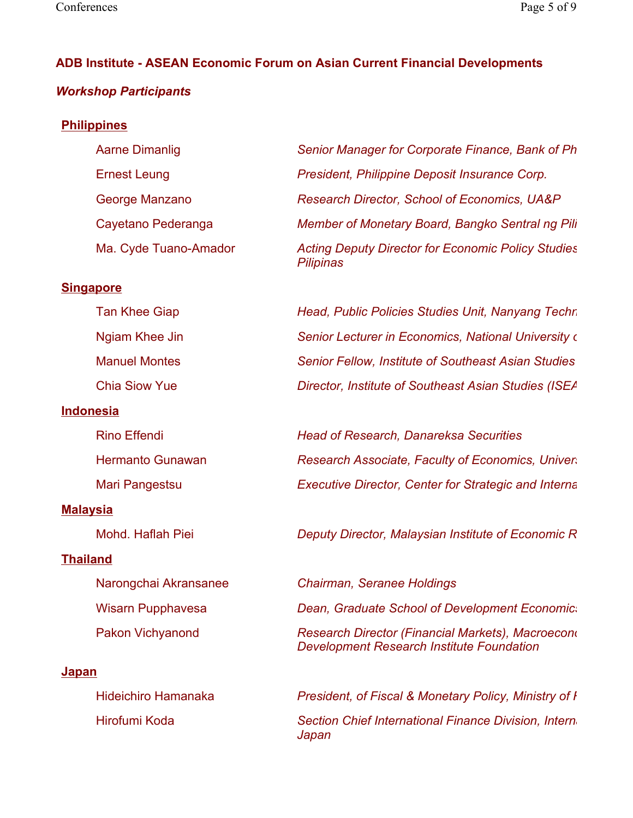## **ADB Institute - ASEAN Economic Forum on Asian Current Financial Developments**

## *Workshop Participants*

### **Philippines**

#### **Singapore**

| <b>Tan Khee Giap</b> |
|----------------------|
| Ngiam Khee Jin       |
| <b>Manuel Montes</b> |
| <b>Chia Siow Yue</b> |

#### **Indonesia**

| <b>Rino Effendi</b>     |
|-------------------------|
| <b>Hermanto Gunawan</b> |
| Mari Pangestsu          |

### **Malaysia**

### **Thailand**

#### **Japan**

 Aarne Dimanlig *Senior Manager for Corporate Finance, Bank of Ph* Ernest Leung *President, Philippine Deposit Insurance Corp.*  George Manzano *Research Director, School of Economics, UA&P*  Cayetano Pederanga *Member of Monetary Board, Bangko Sentral ng Pili* Ma. Cyde Tuano-Amador *Acting Deputy Director for Economic Policy Studies Pilipinas* 

> Head, Public Policies Studies Unit, Nanyang Techn **Senior Lecturer in Economics, National University on Bylands Senior Fellow, Institute of Southeast Asian Studies Director, Institute of Southeast Asian Studies (ISEA**

> **Head of Research, Danareksa Securities Research Associate, Faculty of Economics, Univers Executive Director, Center for Strategic and Interna**

Mohd. Haflah Piei *Deputy Director, Malaysian Institute of Economic R*

 Narongchai Akransanee *Chairman, Seranee Holdings*  Wisarn Pupphavesa *Dean, Graduate School of Development Economics* Pakon Vichyanond *Research Director (Financial Markets), Macroecono Development Research Institute Foundation* 

 Hideichiro Hamanaka *President, of Fiscal & Monetary Policy, Ministry of F* Hirofumi Koda *Section Chief International Finance Division, Interna Japan*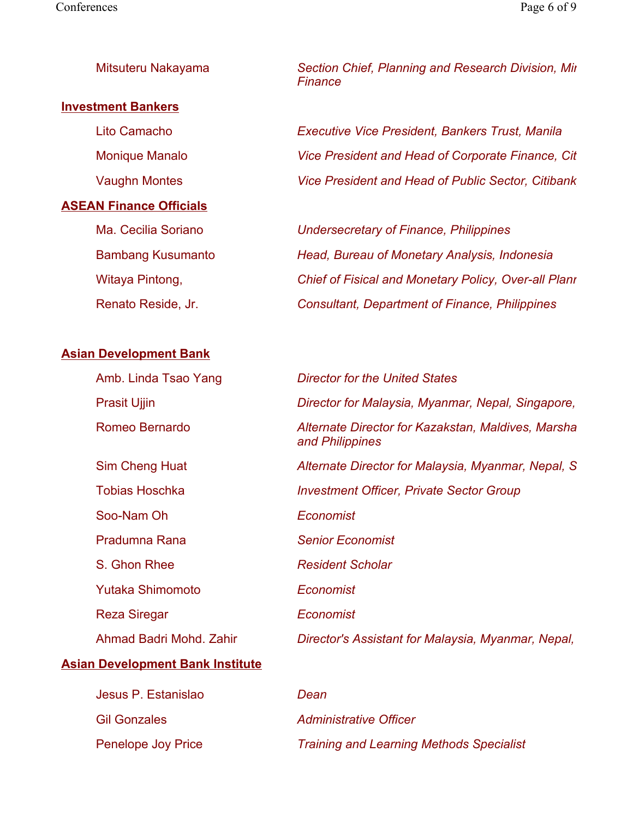| Mitsuteru Nakayama |  |  |  |  |
|--------------------|--|--|--|--|
|--------------------|--|--|--|--|

#### **Investment Bankers**

#### **ASEAN Finance Officials**

**Example 3 Section Chief, Planning and Research Division, Min** *Finance* 

 Lito Camacho *Executive Vice President, Bankers Trust, Manila*  Monique Manalo *Vice President and Head of Corporate Finance, Citi* Vaughn Montes *Vice President and Head of Public Sector, Citibank,*

 Ma. Cecilia Soriano *Undersecretary of Finance, Philippines*  Bambang Kusumanto *Head, Bureau of Monetary Analysis, Indonesia*  Witaya Pintong, *Chief of Fisical and Monetary Policy, Over-all Plann* Renato Reside, Jr. *Consultant, Department of Finance, Philippines* 

#### **Asian Development Bank**

| Amb. Linda Tsao Yang    | <b>Director for the United States</b>                                 |
|-------------------------|-----------------------------------------------------------------------|
| <b>Prasit Ujjin</b>     | Director for Malaysia, Myanmar, Nepal, Singapore,                     |
| Romeo Bernardo          | Alternate Director for Kazakstan, Maldives, Marsha<br>and Philippines |
| Sim Cheng Huat          | Alternate Director for Malaysia, Myanmar, Nepal, S.                   |
| <b>Tobias Hoschka</b>   | <b>Investment Officer, Private Sector Group</b>                       |
| Soo-Nam Oh              | Economist                                                             |
| Pradumna Rana           | <b>Senior Economist</b>                                               |
| S. Ghon Rhee            | <b>Resident Scholar</b>                                               |
| <b>Yutaka Shimomoto</b> | Economist                                                             |
| <b>Reza Siregar</b>     | Economist                                                             |
| Ahmad Badri Mohd, Zahir | Director's Assistant for Malaysia, Myanmar, Nepal,                    |

#### **Asian Development Bank Institute**

| Jesus P. Estanislao       | Dean                                            |
|---------------------------|-------------------------------------------------|
| <b>Gil Gonzales</b>       | <b>Administrative Officer</b>                   |
| <b>Penelope Joy Price</b> | <b>Training and Learning Methods Specialist</b> |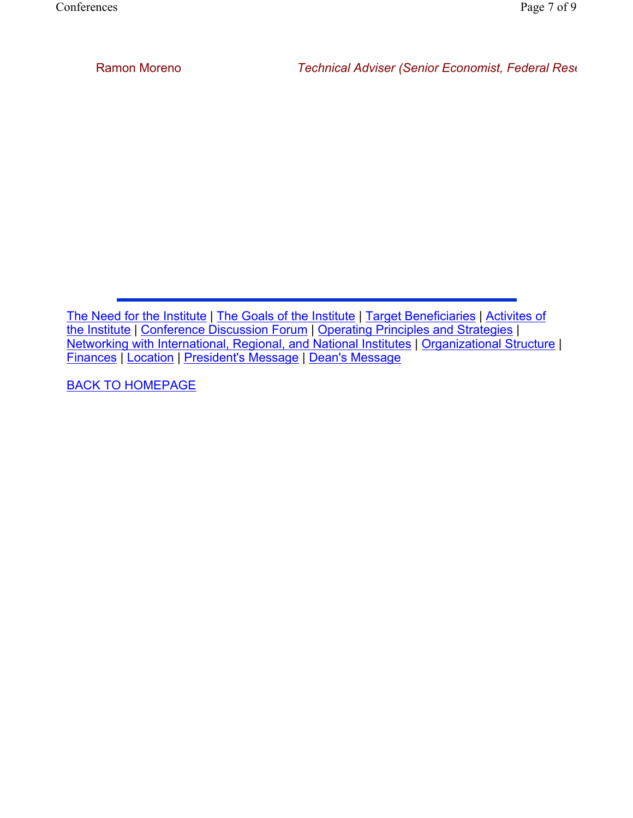BACK TO HOMEPAGE

The Need for the Institute | The Goals of the Institute | Target Beneficiaries | Activites of the Institute | Conference Discussion Forum | Operating Principles and Strategies | Networking with International, Regional, and National Institutes | Organizational Structure | Finances | Location | President's Message | Dean's Message